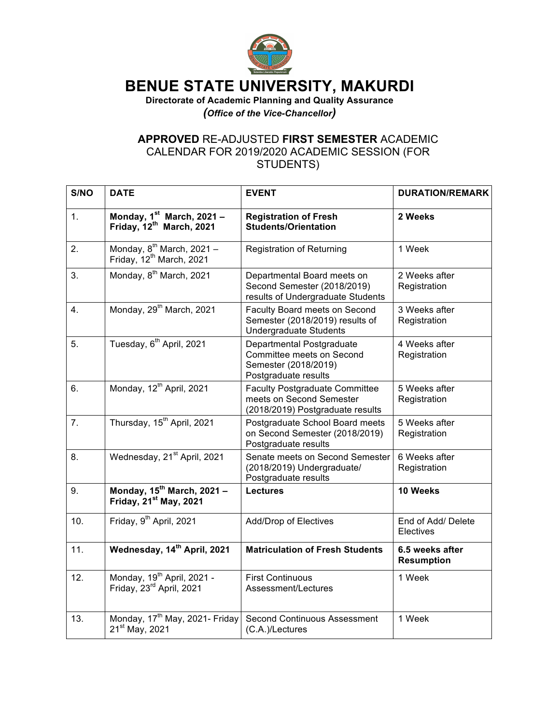

## **BENUE STATE UNIVERSITY, MAKURDI**

**Directorate of Academic Planning and Quality Assurance** *(Office of the Vice-Chancellor)*

## **APPROVED** RE-ADJUSTED **FIRST SEMESTER** ACADEMIC CALENDAR FOR 2019/2020 ACADEMIC SESSION (FOR STUDENTS)

| S/NO | <b>DATE</b>                                                                    | <b>EVENT</b>                                                                                           | <b>DURATION/REMARK</b>               |
|------|--------------------------------------------------------------------------------|--------------------------------------------------------------------------------------------------------|--------------------------------------|
| 1.   | Monday, 1st March, 2021 -<br>Friday, 12 <sup>th</sup> March, 2021              | <b>Registration of Fresh</b><br><b>Students/Orientation</b>                                            | 2 Weeks                              |
| 2.   | Monday, 8 <sup>th</sup> March, 2021 -<br>Friday, 12 <sup>th</sup> March, 2021  | <b>Registration of Returning</b>                                                                       | 1 Week                               |
| 3.   | Monday, 8 <sup>th</sup> March, 2021                                            | Departmental Board meets on<br>Second Semester (2018/2019)<br>results of Undergraduate Students        | 2 Weeks after<br>Registration        |
| 4.   | Monday, 29 <sup>th</sup> March, 2021                                           | Faculty Board meets on Second<br>Semester (2018/2019) results of<br><b>Undergraduate Students</b>      | 3 Weeks after<br>Registration        |
| 5.   | Tuesday, 6 <sup>th</sup> April, 2021                                           | Departmental Postgraduate<br>Committee meets on Second<br>Semester (2018/2019)<br>Postgraduate results | 4 Weeks after<br>Registration        |
| 6.   | Monday, 12 <sup>th</sup> April, 2021                                           | <b>Faculty Postgraduate Committee</b><br>meets on Second Semester<br>(2018/2019) Postgraduate results  | 5 Weeks after<br>Registration        |
| 7.   | Thursday, 15 <sup>th</sup> April, 2021                                         | Postgraduate School Board meets<br>on Second Semester (2018/2019)<br>Postgraduate results              | 5 Weeks after<br>Registration        |
| 8.   | Wednesday, 21 <sup>st</sup> April, 2021                                        | Senate meets on Second Semester<br>(2018/2019) Undergraduate/<br>Postgraduate results                  | 6 Weeks after<br>Registration        |
| 9.   | Monday, $15^{th}$ March, 2021 -<br>Friday, 21 <sup>st</sup> May, 2021          | <b>Lectures</b>                                                                                        | 10 Weeks                             |
| 10.  | Friday, 9 <sup>th</sup> April, 2021                                            | Add/Drop of Electives                                                                                  | End of Add/ Delete<br>Electives      |
| 11.  | Wednesday, 14 <sup>th</sup> April, 2021                                        | <b>Matriculation of Fresh Students</b>                                                                 | 6.5 weeks after<br><b>Resumption</b> |
| 12.  | Monday, 19 <sup>th</sup> April, 2021 -<br>Friday, 23 <sup>rd</sup> April, 2021 | <b>First Continuous</b><br>Assessment/Lectures                                                         | 1 Week                               |
| 13.  | Monday, 17 <sup>th</sup> May, 2021- Friday<br>21 <sup>st</sup> May, 2021       | Second Continuous Assessment<br>(C.A.)/Lectures                                                        | 1 Week                               |